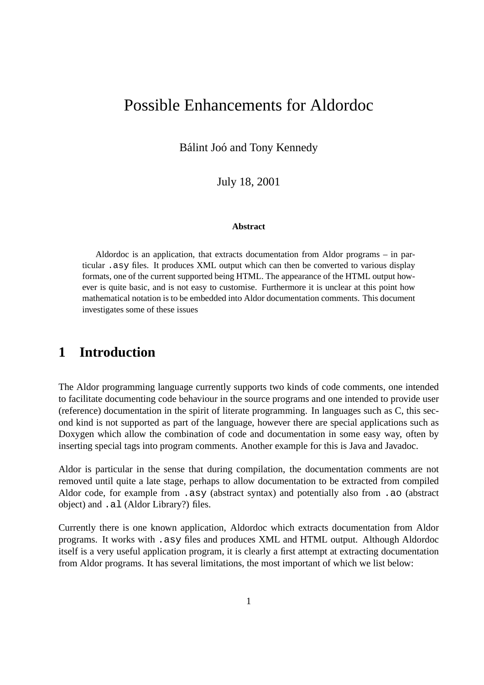# Possible Enhancements for Aldordoc

Bálint Joó and Tony Kennedy

July 18, 2001

#### **Abstract**

Aldordoc is an application, that extracts documentation from Aldor programs – in particular .asy files. It produces XML output which can then be converted to various display formats, one of the current supported being HTML. The appearance of the HTML output however is quite basic, and is not easy to customise. Furthermore it is unclear at this point how mathematical notation is to be embedded into Aldor documentation comments. This document investigates some of these issues

#### **1 Introduction**

The Aldor programming language currently supports two kinds of code comments, one intended to facilitate documenting code behaviour in the source programs and one intended to provide user (reference) documentation in the spirit of literate programming. In languages such as C, this second kind is not supported as part of the language, however there are special applications such as Doxygen which allow the combination of code and documentation in some easy way, often by inserting special tags into program comments. Another example for this is Java and Javadoc.

Aldor is particular in the sense that during compilation, the documentation comments are not removed until quite a late stage, perhaps to allow documentation to be extracted from compiled Aldor code, for example from .asy (abstract syntax) and potentially also from .ao (abstract object) and .al (Aldor Library?) files.

Currently there is one known application, Aldordoc which extracts documentation from Aldor programs. It works with .asy files and produces XML and HTML output. Although Aldordoc itself is a very useful application program, it is clearly a first attempt at extracting documentation from Aldor programs. It has several limitations, the most important of which we list below: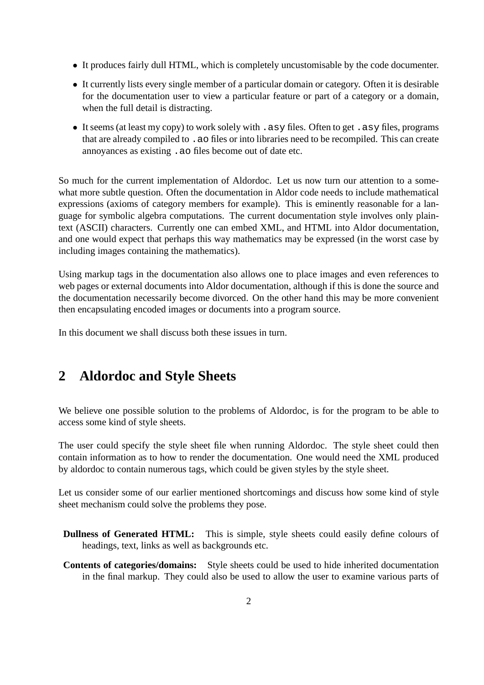- It produces fairly dull HTML, which is completely uncustomisable by the code documenter.
- It currently lists every single member of a particular domain or category. Often it is desirable for the documentation user to view a particular feature or part of a category or a domain, when the full detail is distracting.
- It seems (at least my copy) to work solely with . asy files. Often to get . asy files, programs that are already compiled to .ao files or into libraries need to be recompiled. This can create annoyances as existing .ao files become out of date etc.

So much for the current implementation of Aldordoc. Let us now turn our attention to a somewhat more subtle question. Often the documentation in Aldor code needs to include mathematical expressions (axioms of category members for example). This is eminently reasonable for a language for symbolic algebra computations. The current documentation style involves only plaintext (ASCII) characters. Currently one can embed XML, and HTML into Aldor documentation, and one would expect that perhaps this way mathematics may be expressed (in the worst case by including images containing the mathematics).

Using markup tags in the documentation also allows one to place images and even references to web pages or external documents into Aldor documentation, although if this is done the source and the documentation necessarily become divorced. On the other hand this may be more convenient then encapsulating encoded images or documents into a program source.

In this document we shall discuss both these issues in turn.

### **2 Aldordoc and Style Sheets**

We believe one possible solution to the problems of Aldordoc, is for the program to be able to access some kind of style sheets.

The user could specify the style sheet file when running Aldordoc. The style sheet could then contain information as to how to render the documentation. One would need the XML produced by aldordoc to contain numerous tags, which could be given styles by the style sheet.

Let us consider some of our earlier mentioned shortcomings and discuss how some kind of style sheet mechanism could solve the problems they pose.

- **Dullness of Generated HTML:** This is simple, style sheets could easily define colours of headings, text, links as well as backgrounds etc.
- **Contents of categories/domains:** Style sheets could be used to hide inherited documentation in the final markup. They could also be used to allow the user to examine various parts of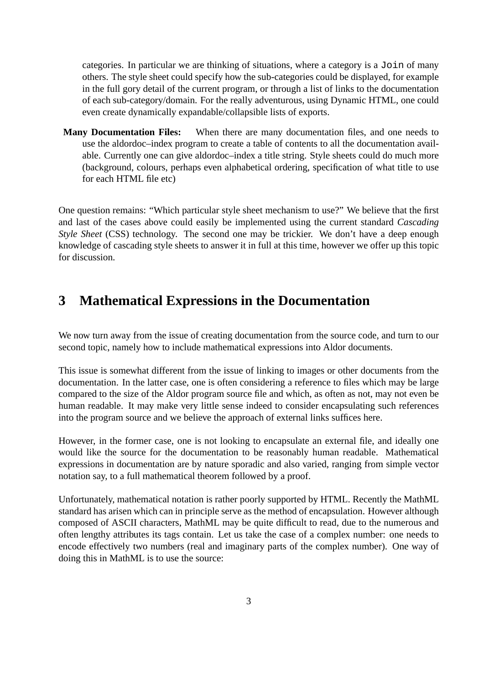categories. In particular we are thinking of situations, where a category is a Join of many others. The style sheet could specify how the sub-categories could be displayed, for example in the full gory detail of the current program, or through a list of links to the documentation of each sub-category/domain. For the really adventurous, using Dynamic HTML, one could even create dynamically expandable/collapsible lists of exports.

**Many Documentation Files:** When there are many documentation files, and one needs to use the aldordoc–index program to create a table of contents to all the documentation available. Currently one can give aldordoc–index a title string. Style sheets could do much more (background, colours, perhaps even alphabetical ordering, specification of what title to use for each HTML file etc)

One question remains: "Which particular style sheet mechanism to use?" We believe that the first and last of the cases above could easily be implemented using the current standard *Cascading Style Sheet* (CSS) technology. The second one may be trickier. We don't have a deep enough knowledge of cascading style sheets to answer it in full at this time, however we offer up this topic for discussion.

# **3 Mathematical Expressions in the Documentation**

We now turn away from the issue of creating documentation from the source code, and turn to our second topic, namely how to include mathematical expressions into Aldor documents.

This issue is somewhat different from the issue of linking to images or other documents from the documentation. In the latter case, one is often considering a reference to files which may be large compared to the size of the Aldor program source file and which, as often as not, may not even be human readable. It may make very little sense indeed to consider encapsulating such references into the program source and we believe the approach of external links suffices here.

However, in the former case, one is not looking to encapsulate an external file, and ideally one would like the source for the documentation to be reasonably human readable. Mathematical expressions in documentation are by nature sporadic and also varied, ranging from simple vector notation say, to a full mathematical theorem followed by a proof.

Unfortunately, mathematical notation is rather poorly supported by HTML. Recently the MathML standard has arisen which can in principle serve as the method of encapsulation. However although composed of ASCII characters, MathML may be quite difficult to read, due to the numerous and often lengthy attributes its tags contain. Let us take the case of a complex number: one needs to encode effectively two numbers (real and imaginary parts of the complex number). One way of doing this in MathML is to use the source: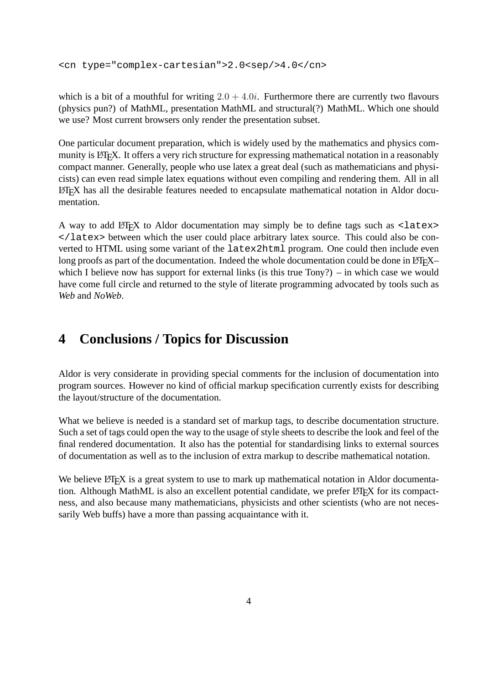<cn type="complex-cartesian">2.0<sep/>4.0</cn>

which is a bit of a mouthful for writing  $2.0 + 4.0i$ . Furthermore there are currently two flavours (physics pun?) of MathML, presentation MathML and structural(?) MathML. Which one should we use? Most current browsers only render the presentation subset.

One particular document preparation, which is widely used by the mathematics and physics community is LAT<sub>EX</sub>. It offers a very rich structure for expressing mathematical notation in a reasonably compact manner. Generally, people who use latex a great deal (such as mathematicians and physicists) can even read simple latex equations without even compiling and rendering them. All in all LATEX has all the desirable features needed to encapsulate mathematical notation in Aldor documentation.

A way to add  $\Delta E$ <sub>TE</sub>X to Aldor documentation may simply be to define tags such as  $\Delta E$ </latex> between which the user could place arbitrary latex source. This could also be converted to HTML using some variant of the latex2html program. One could then include even long proofs as part of the documentation. Indeed the whole documentation could be done in LATEX– which I believe now has support for external links (is this true Tony?) – in which case we would have come full circle and returned to the style of literate programming advocated by tools such as *Web* and *NoWeb*.

## **4 Conclusions / Topics for Discussion**

Aldor is very considerate in providing special comments for the inclusion of documentation into program sources. However no kind of official markup specification currently exists for describing the layout/structure of the documentation.

What we believe is needed is a standard set of markup tags, to describe documentation structure. Such a set of tags could open the way to the usage of style sheets to describe the look and feel of the final rendered documentation. It also has the potential for standardising links to external sources of documentation as well as to the inclusion of extra markup to describe mathematical notation.

We believe LATEX is a great system to use to mark up mathematical notation in Aldor documentation. Although MathML is also an excellent potential candidate, we prefer LAT<sub>EX</sub> for its compactness, and also because many mathematicians, physicists and other scientists (who are not necessarily Web buffs) have a more than passing acquaintance with it.